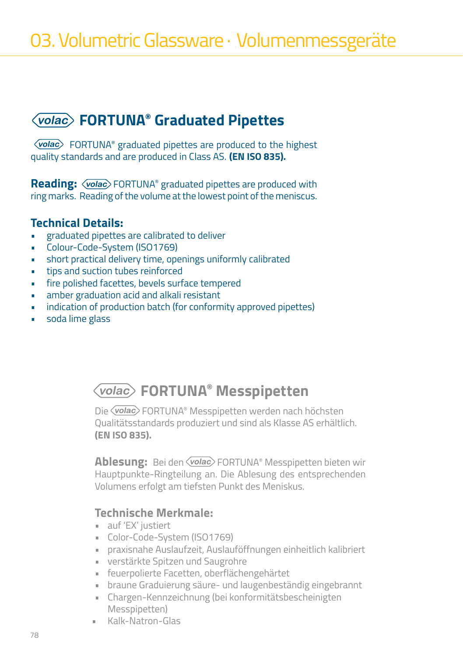### **FORTUNA® Graduated Pipettes**

**Volac** FORTUNA® graduated pipettes are produced to the highest quality standards and are produced in Class AS. **(EN ISO 835).**

**Reading:**  $\sqrt{ $P}$  FORTUNA® graduated pipettes are produced with$ ring marks. Reading of the volume at the lowest point of the meniscus.

#### **Technical Details:**

- graduated pipettes are calibrated to deliver
- Colour-Code-System (ISO1769)
- short practical delivery time, openings uniformly calibrated
- tips and suction tubes reinforced
- fire polished facettes, bevels surface tempered
- amber graduation acid and alkali resistant
- indication of production batch (for conformity approved pipettes)
- soda lime glass

### **FORTUNA® Messpipetten**

Die *Volac* FORTUNA® Messpipetten werden nach höchsten Qualitätsstandards produziert und sind als Klasse AS erhältlich. **(EN ISO 835).**

**Ablesung:** Bei den *Volac* FORTUNA® Messpipetten bieten wir Hauptpunkte-Ringteilung an. Die Ablesung des entsprechenden Volumens erfolgt am tiefsten Punkt des Meniskus.

#### **Technische Merkmale:**

- auf 'EX' justiert
- Color-Code-System (ISO1769)
- praxisnahe Auslaufzeit, Auslauföffnungen einheitlich kalibriert
- verstärkte Spitzen und Saugrohre
- feuerpolierte Facetten, oberflächengehärtet
- braune Graduierung säure- und laugenbeständig eingebrannt
- Chargen-Kennzeichnung (bei konformitätsbescheinigten Messpipetten)
- Kalk-Natron-Glas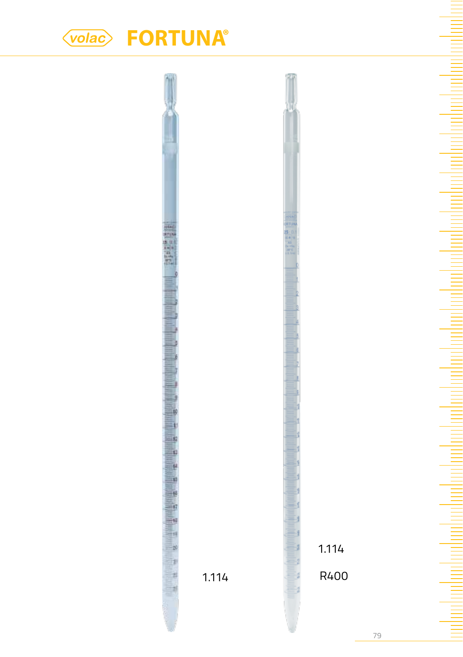# **FORTUNA®**



79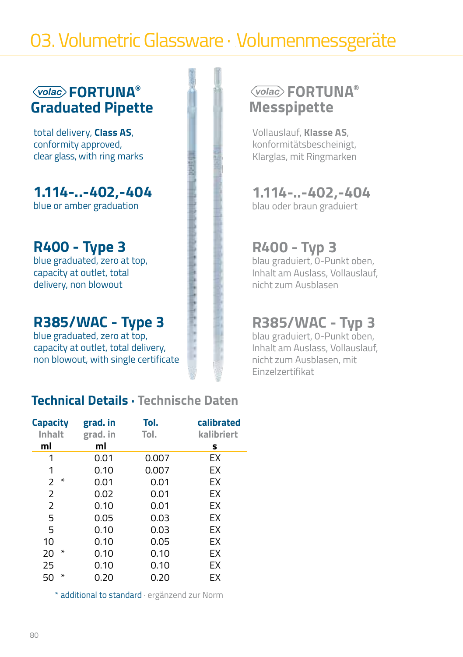## 03. Volumetric Glassware · Volumenmessgeräte

### **FORTUNA® Graduated Pipette**

total delivery, **Class AS**, conformity approved, clear glass, with ring marks

**1.114-..-402,-404** blue or amber graduation

### **R400 - Type 3**

blue graduated, zero at top, capacity at outlet, total delivery, non blowout

### **R385/WAC - Type 3**

blue graduated, zero at top, capacity at outlet, total delivery, non blowout, with single certificate

### **Technical Details · Technische Daten**

| Capacity       | grad. in | Tol.  | calibrated |
|----------------|----------|-------|------------|
| Inhalt         | grad. in | Tol.  | kalibriert |
| ml             | ml       |       | s          |
| 1              | 0.01     | 0.007 | ЕX         |
| 1              | 0.10     | 0.007 | EX         |
| *<br>2         | 0.01     | 0.01  | EX         |
| $\overline{2}$ | 0.02     | 0.01  | EX         |
| $\overline{2}$ | 0.10     | 0.01  | EX         |
| 5              | 0.05     | 0.03  | EX         |
| 5              | 0.10     | 0.03  | EX         |
| 10             | 0.10     | 0.05  | EX         |
| ∗<br>20        | 0.10     | 0.10  | EX         |
| 25             | 0.10     | 0.10  | EX         |
| *<br>50        | 0.20     | 0.20  | EX         |

\* additional to standard · ergänzend zur Norm

### **FORTUNA® Messpipette**

Vollauslauf, **Klasse AS**, konformitätsbescheinigt, Klarglas, mit Ringmarken

### **1.114-..-402,-404**

blau oder braun graduiert

### **R400 - Typ 3**

blau graduiert, 0-Punkt oben, Inhalt am Auslass, Vollauslauf, nicht zum Ausblasen

### **R385/WAC - Typ 3**

blau graduiert, 0-Punkt oben, Inhalt am Auslass, Vollauslauf, nicht zum Ausblasen, mit Einzelzertifikat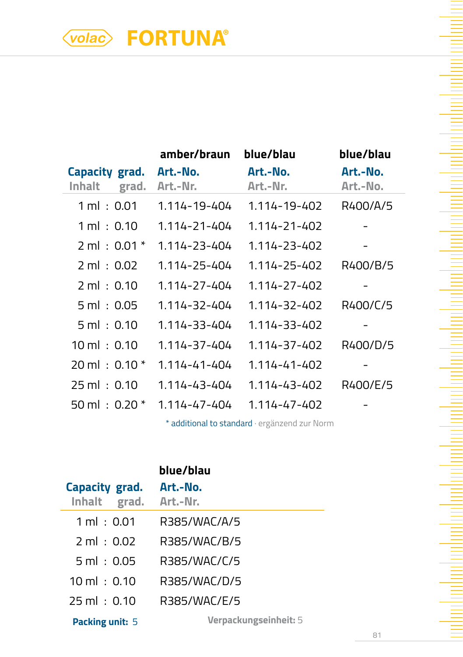# **FORTUNA®**

|                                   | amber/braun          | blue/blau            | blue/blau            |
|-----------------------------------|----------------------|----------------------|----------------------|
| Capacity grad.<br>Inhalt<br>grad. | Art.-No.<br>Art.-Nr. | Art.-No.<br>Art.-Nr. | Art.-No.<br>Art.-No. |
| $1 \,\mathrm{ml}$ : 0.01          | 1.114-19-404         | 1.114-19-402         | R400/A/5             |
| $1 \,\mathrm{ml}$ : 0.10          | 1.114-21-404         | 1.114-21-402         |                      |
| $2 \text{ ml} : 0.01 *$           | 1.114-23-404         | 1.114-23-402         |                      |
| $2 \text{ ml} : 0.02$             | 1.114-25-404         | 1.114-25-402         | R400/B/5             |
| $2 \text{ ml} : 0.10$             | 1.114-27-404         | 1.114-27-402         |                      |
| $5 \text{ ml} : 0.05$             | 1.114-32-404         | 1.114-32-402         | R400/C/5             |
| $5 \text{ ml} : 0.10$             | 1.114-33-404         | 1.114-33-402         |                      |
| $10 \text{ ml} : 0.10$            | 1.114-37-404         | 1.114-37-402         | R400/D/5             |
| $20 \text{ ml} : 0.10*$           | 1.114-41-404         | $1.114 - 41 - 402$   |                      |
| $25 \text{ ml} : 0.10$            | 1.114-43-404         | 1.114-43-402         | R400/E/5             |
| $50 \,\mathrm{ml}$ : 0.20 $^*$    | $1.114 - 47 - 404$   | $1.114 - 47 - 402$   |                      |

\* additional to standard · ergänzend zur Norm

| Capacity grad.<br>Inhalt grad. | blue/blau<br>Art.-No.<br>Art.-Nr. |
|--------------------------------|-----------------------------------|
| $1 \,\mathrm{ml}$ : $0.01$     | R385/WAC/A/5                      |
| $2 \text{ ml} : 0.02$          | R385/WAC/B/5                      |
| $5 \text{ ml} : 0.05$          | R385/WAC/C/5                      |
| $10 \text{ ml} : 0.10$         | R385/WAC/D/5                      |
| $25 \text{ ml} : 0.10$         | R385/WAC/F/5                      |
|                                | $\mathbf{v}$                      |

**Packing unit:** 5 **Verpackungseinheit:** 5

81

Ξ

ha ha ha ha shekarar ta ƙasar Ingila.

dan bertama berasa dan bertakan berasa dari dalam berasa dan berasa dan berasa dalam berasa dalam b

 $\equiv$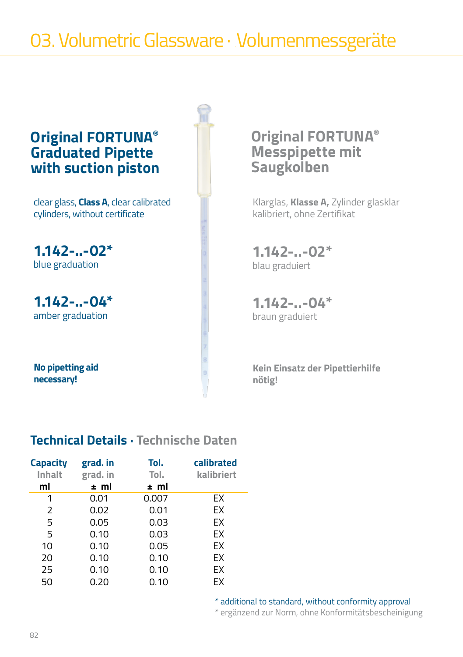## 03. Volumetric Glassware · Volumenmessgeräte

### **Original FORTUNA® Graduated Pipette with suction piston**

clear glass, **Class A**, clear calibrated cylinders, without certificate

**1.142-..-02\*** blue graduation

**1.142-..-04\*** amber graduation

**No pipetting aid necessary!**

### **Original FORTUNA® Messpipette mit Saugkolben**

Klarglas, **Klasse A,** Zylinder glasklar kalibriert, ohne Zertifikat

**1.142-..-02\***  blau graduiert

**1.142-..-04\*** braun graduiert

**Kein Einsatz der Pipettierhilfe nötig!**

### **Technical Details · Technische Daten**

| <b>Capacity</b><br>Inhalt | grad. in<br>grad. in | Tol.<br>Tol. | calibrated<br>kalibriert |
|---------------------------|----------------------|--------------|--------------------------|
| ml                        | ± ml                 | ± ml         |                          |
| 1                         | 0.01                 | 0.007        | ЕX                       |
| 2                         | 0.02                 | 0.01         | EX                       |
| 5                         | 0.05                 | 0.03         | FX.                      |
| 5                         | 0.10                 | 0.03         | EX                       |
| 10                        | 0.10                 | 0.05         | EX                       |
| 20                        | 0.10                 | 0.10         | EX                       |
| 25                        | 0.10                 | 0.10         | EX                       |
| 50                        | 0.20                 | 0.10         | ЕX                       |

\* additional to standard, without conformity approval

\* ergänzend zur Norm, ohne Konformitätsbescheinigung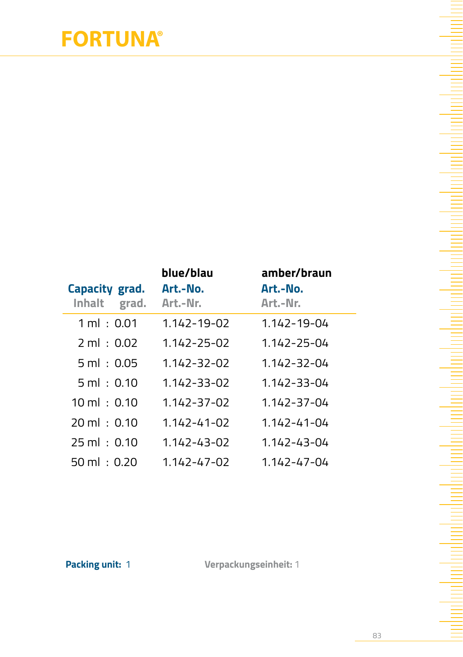# **FORTUNA®**

| Capacity grad.<br>Inhalt<br>grad. | blue/blau<br>Art.-No.<br>Art.-Nr. | amber/braun<br>Art.-No.<br>Art.-Nr. |
|-----------------------------------|-----------------------------------|-------------------------------------|
| $1 \, \text{ml} \cdot 0.01$       | $1.142 - 19 - 02$                 | 1.142-19-04                         |
| $2 \text{ ml} \pm 0.02$           | 1.142-25-02                       | 1.142-25-04                         |
| $5 \text{ ml} : 0.05$             | $1.142 - 32 - 02$                 | $1.142 - 32 - 04$                   |
| 5ml : 0.10                        | 1.142-33-02                       | 1.142-33-04                         |
| $10 \text{ ml} : 0.10$            | 1.142-37-02                       | 1.142-37-04                         |
| $20 \text{ ml} \pm 0.10$          | $1.142 - 41 - 02$                 | $1.142 - 41 - 04$                   |
| $25 \text{ ml} : 0.10$            | $1.142 - 43 - 02$                 | 1.142-43-04                         |
| 50 ml : 0.20                      | 1.142-47-02                       | 1.142-47-04                         |

**Packing unit:** 1 **Verpackungseinheit:** 1

<u>E</u>

E Ξ

ha ha ha ha shekarar ta ƙasar Ingila.

da matamatan ing kabupatèn Kabupatèn Kabupatèn Kabupatèn Kabupatèn Kabupatèn Kabupatèn Kabupatèn Kabupatèn Kab

 $\equiv$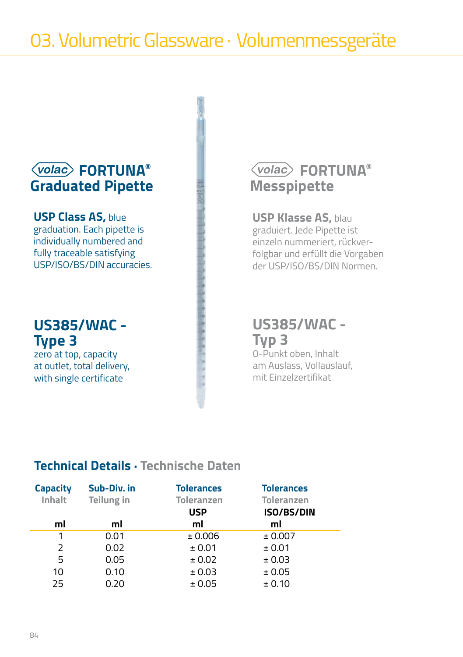### **FORTUNA® Graduated Pipette**

**USP Class AS,** blue graduation. Each pipette is individually numbered and fully traceable satisfying USP/ISO/BS/DIN accuracies.

### **US385/WAC - Type 3**

zero at top, capacity at outlet, total delivery, with single certificate

### **FORTUNA® Messpipette**

#### **USP Klasse AS,** blau

graduiert. Jede Pipette ist einzeln nummeriert, rückverfolgbar und erfüllt die Vorgaben der USP/ISO/BS/DIN Normen.

### **US385/WAC - Typ 3**

0-Punkt oben, Inhalt am Auslass, Vollauslauf, mit Einzelzertifikat

### **Technical Details · Technische Daten**

| <b>Capacity</b><br>Inhalt | Sub-Div. in<br>Teilung in | <b>Tolerances</b><br><b>Toleranzen</b><br><b>USP</b> | <b>Tolerances</b><br><b>Toleranzen</b><br><b>ISO/BS/DIN</b> |
|---------------------------|---------------------------|------------------------------------------------------|-------------------------------------------------------------|
| ml                        | ml                        | ml                                                   | ml                                                          |
| 1                         | 0.01                      | ± 0.006                                              | ± 0.007                                                     |
| 2                         | 0.02                      | ± 0.01                                               | ± 0.01                                                      |
| 5                         | 0.05                      | ± 0.02                                               | ± 0.03                                                      |
| 10                        | 0.10                      | ± 0.03                                               | ± 0.05                                                      |
| 25                        | 0.20                      | ± 0.05                                               | ± 0.10                                                      |